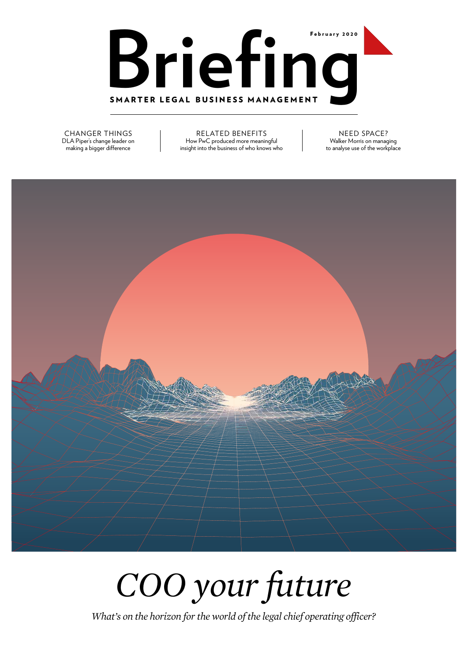

CHANGER THINGS DLA Piper's change leader on making a bigger difference

RELATED BENEFITS How PwC produced more meaningful insight into the business of who knows who

NEED SPACE? Walker Morris on managing to analyse use of the workplace



*COO your future*

*What's on the horizon for the world of the legal chief operating officer?*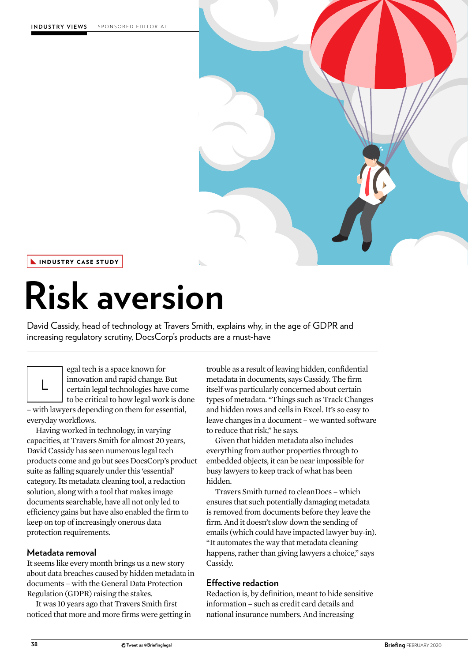

INDUSTRY CASE STUDY

# **Risk aversion**

David Cassidy, head of technology at Travers Smith, explains why, in the age of GDPR and increasing regulatory scrutiny, DocsCorp's products are a must-have



egal tech is a space known for innovation and rapid change. But certain legal technologies have come to be critical to how legal work is done

– with lawyers depending on them for essential, everyday workflows.

Having worked in technology, in varying capacities, at Travers Smith for almost 20 years, David Cassidy has seen numerous legal tech products come and go but sees DocsCorp's product suite as falling squarely under this 'essential' category. Its metadata cleaning tool, a redaction solution, along with a tool that makes image documents searchable, have all not only led to efficiency gains but have also enabled the firm to keep on top of increasingly onerous data protection requirements.

## **Metadata removal**

It seems like every month brings us a new story about data breaches caused by hidden metadata in documents – with the General Data Protection Regulation (GDPR) raising the stakes.

It was 10 years ago that Travers Smith first noticed that more and more firms were getting in trouble as a result of leaving hidden, confidential metadata in documents, says Cassidy. The firm itself was particularly concerned about certain types of metadata. "Things such as Track Changes and hidden rows and cells in Excel. It's so easy to leave changes in a document – we wanted software to reduce that risk," he says.

Given that hidden metadata also includes everything from author properties through to embedded objects, it can be near impossible for busy lawyers to keep track of what has been hidden.

Travers Smith turned to cleanDocs – which ensures that such potentially damaging metadata is removed from documents before they leave the firm. And it doesn't slow down the sending of emails (which could have impacted lawyer buy-in). "It automates the way that metadata cleaning happens, rather than giving lawyers a choice," says Cassidy.

### **Effective redaction**

Redaction is, by definition, meant to hide sensitive information – such as credit card details and national insurance numbers. And increasing